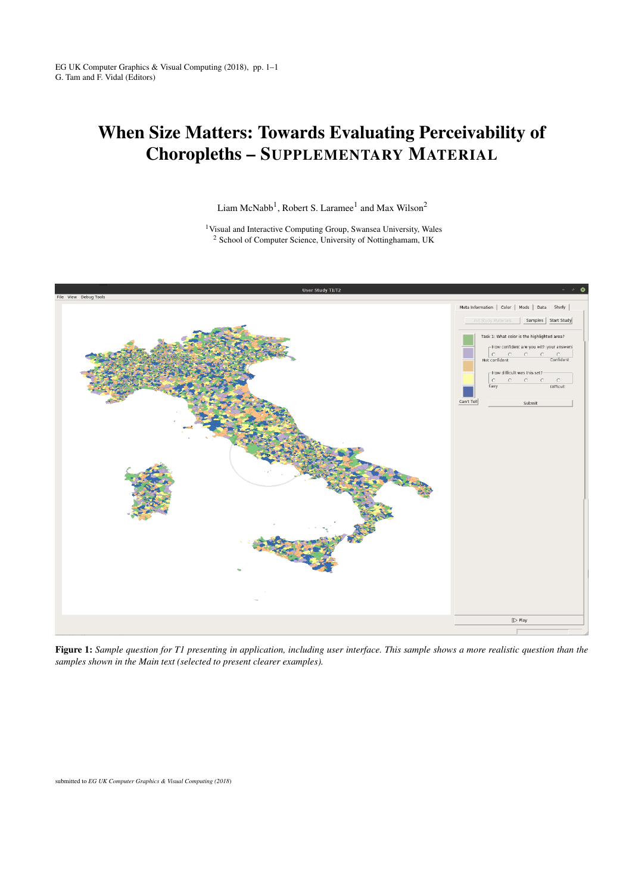## When Size Matters: Towards Evaluating Perceivability of Choropleths – SUPPLEMENTARY MATERIAL

Liam McNabb<sup>1</sup>, Robert S. Laramee<sup>1</sup> and Max Wilson<sup>2</sup>

<sup>1</sup>Visual and Interactive Computing Group, Swansea University, Wales <sup>2</sup> School of Computer Science, University of Nottinghamam, UK



Figure 1: *Sample question for T1 presenting in application, including user interface. This sample shows a more realistic question than the samples shown in the Main text (selected to present clearer examples).*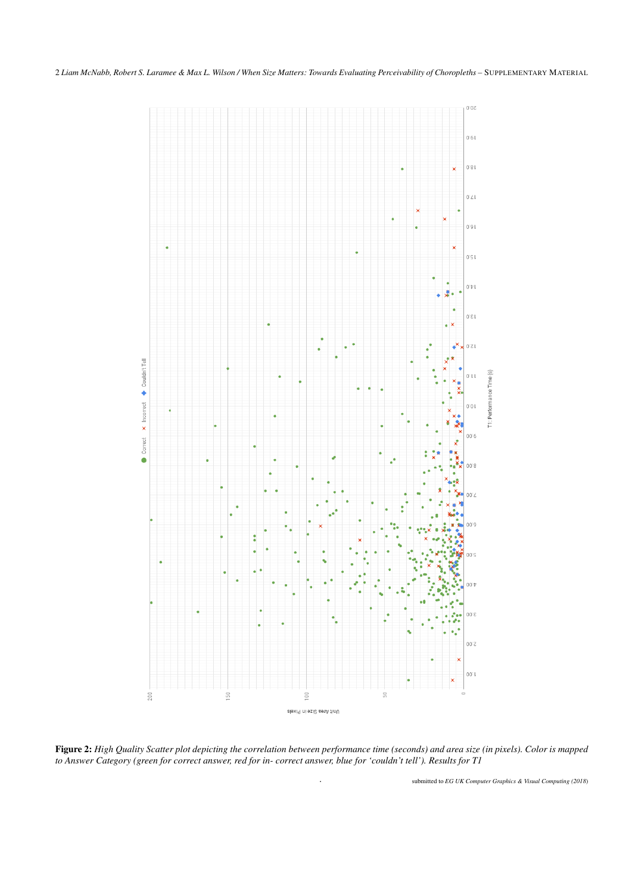2 *Liam McNabb, Robert S. Laramee & Max L. Wilson / When Size Matters: Towards Evaluating Perceivability of Choropleths –* SUPPLEMENTARY MATERIAL



Figure 2: *High Quality Scatter plot depicting the correlation between performance time (seconds) and area size (in pixels). Color is mapped to Answer Category (green for correct answer, red for in- correct answer, blue for 'couldn't tell'). Results for T1*

. submitted to *EG UK Computer Graphics & Visual Computing (2018*)